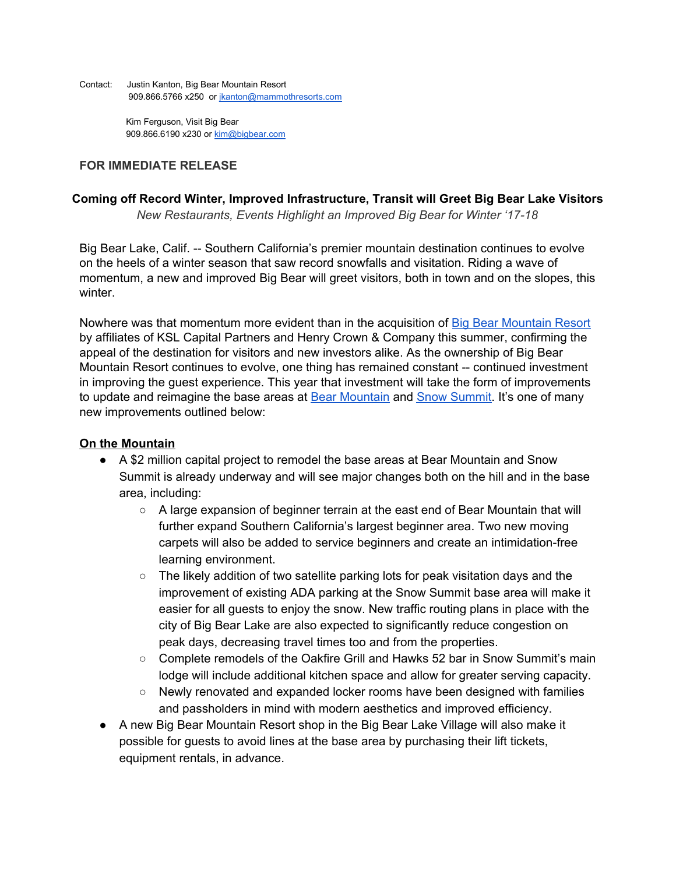Contact: Justin Kanton, Big Bear Mountain Resort 909.866.5766 x250 or [jkanton@mammothresorts.com](mailto:jkanton@mammothresorts.com)

> Kim Ferguson, Visit Big Bear 909.866.6190 x230 or [kim@bigbear.com](mailto:kim@bigbear.com)

## **FOR IMMEDIATE RELEASE**

### **Coming off Record Winter, Improved Infrastructure, Transit will Greet Big Bear Lake Visitors**

*New Restaurants, Events Highlight an Improved Big Bear for Winter '17-18*

Big Bear Lake, Calif. -- Southern California's premier mountain destination continues to evolve on the heels of a winter season that saw record snowfalls and visitation. Riding a wave of momentum, a new and improved Big Bear will greet visitors, both in town and on the slopes, this winter.

Nowhere was that momentum more evident than in the acquisition of Big Bear [Mountain](https://www.bigbearmountainresort.com/) Resort by affiliates of KSL Capital Partners and Henry Crown & Company this summer, confirming the appeal of the destination for visitors and new investors alike. As the ownership of Big Bear Mountain Resort continues to evolve, one thing has remained constant -- continued investment in improving the guest experience. This year that investment will take the form of improvements to update and reimagine the base areas at **Bear [Mountain](https://www.bigbearmountainresort.com/summer/mountains/mountains/bear-mountain/about-bear-mountain)** and **Snow [Summit.](https://www.bigbearmountainresort.com/summer/mountains/mountains/snow-summit/about-snow-summit)** It's one of many new improvements outlined below:

## **On the Mountain**

- A \$2 million capital project to remodel the base areas at Bear Mountain and Snow Summit is already underway and will see major changes both on the hill and in the base area, including:
	- A large expansion of beginner terrain at the east end of Bear Mountain that will further expand Southern California's largest beginner area. Two new moving carpets will also be added to service beginners and create an intimidation-free learning environment.
	- The likely addition of two satellite parking lots for peak visitation days and the improvement of existing ADA parking at the Snow Summit base area will make it easier for all guests to enjoy the snow. New traffic routing plans in place with the city of Big Bear Lake are also expected to significantly reduce congestion on peak days, decreasing travel times too and from the properties.
	- Complete remodels of the Oakfire Grill and Hawks 52 bar in Snow Summit's main lodge will include additional kitchen space and allow for greater serving capacity.
	- Newly renovated and expanded locker rooms have been designed with families and passholders in mind with modern aesthetics and improved efficiency.
- A new Big Bear Mountain Resort shop in the Big Bear Lake Village will also make it possible for guests to avoid lines at the base area by purchasing their lift tickets, equipment rentals, in advance.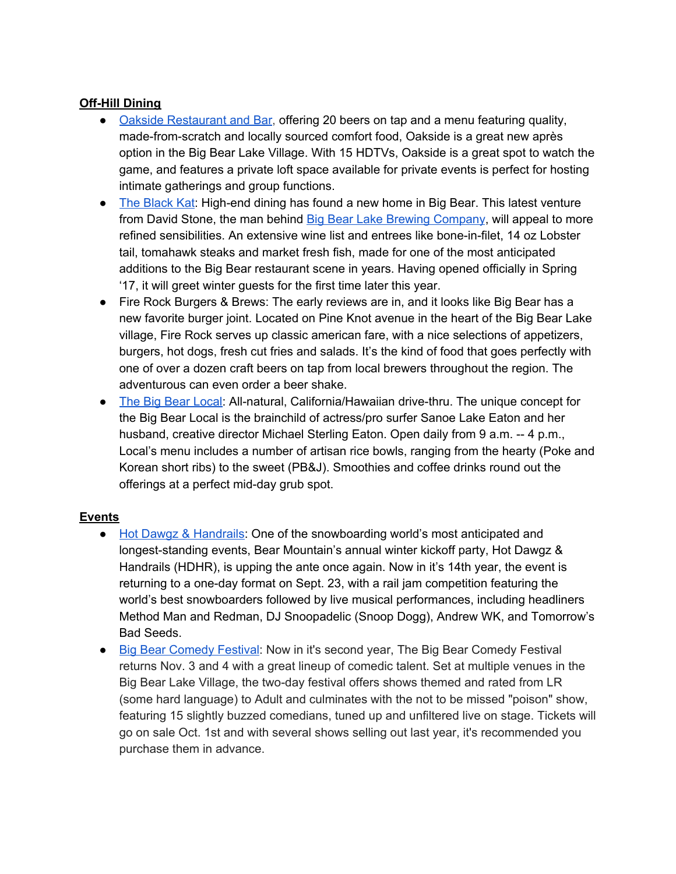# **Off-Hill Dining**

- Oakside [Restaurant](http://oaksiderestaurant.com/) and Bar, offering 20 beers on tap and a menu featuring quality, made-from-scratch and locally sourced comfort food, Oakside is a great new après option in the Big Bear Lake Village. With 15 HDTVs, Oakside is a great spot to watch the game, and features a private loft space available for private events is perfect for hosting intimate gatherings and group functions.
- The [Black](http://theblackkat.com/) Kat: High-end dining has found a new home in Big Bear. This latest venture from David Stone, the man behind Big Bear Lake Brewing [Company,](http://bblbc.com/) will appeal to more refined sensibilities. An extensive wine list and entrees like bone-in-filet, 14 oz Lobster tail, tomahawk steaks and market fresh fish, made for one of the most anticipated additions to the Big Bear restaurant scene in years. Having opened officially in Spring '17, it will greet winter guests for the first time later this year.
- Fire Rock Burgers & Brews: The early reviews are in, and it looks like Big Bear has a new favorite burger joint. Located on Pine Knot avenue in the heart of the Big Bear Lake village, Fire Rock serves up classic american fare, with a nice selections of appetizers, burgers, hot dogs, fresh cut fries and salads. It's the kind of food that goes perfectly with one of over a dozen craft beers on tap from local brewers throughout the region. The adventurous can even order a beer shake.
- The Big Bear [Local:](https://www.thebigbearlocal.com/) All-natural, California/Hawaiian drive-thru. The unique concept for the Big Bear Local is the brainchild of actress/pro surfer Sanoe Lake Eaton and her husband, creative director Michael Sterling Eaton. Open daily from 9 a.m. -- 4 p.m., Local's menu includes a number of artisan rice bowls, ranging from the hearty (Poke and Korean short ribs) to the sweet (PB&J). Smoothies and coffee drinks round out the offerings at a perfect mid-day grub spot.

# **Events**

- Hot Dawgz & [Handrails:](http://hotdawgzandhandrails.com/) One of the snowboarding world's most anticipated and longest-standing events, Bear Mountain's annual winter kickoff party, Hot Dawgz & Handrails (HDHR), is upping the ante once again. Now in it's 14th year, the event is returning to a one-day format on Sept. 23, with a rail jam competition featuring the world's best snowboarders followed by live musical performances, including headliners Method Man and Redman, DJ Snoopadelic (Snoop Dogg), Andrew WK, and Tomorrow's Bad Seeds.
- Big Bear [Comedy](https://www.bigbearcomedyfestival.com/) Festival: Now in it's second year, The Big Bear Comedy Festival returns Nov. 3 and 4 with a great lineup of comedic talent. Set at multiple venues in the Big Bear Lake Village, the two-day festival offers shows themed and rated from LR (some hard language) to Adult and culminates with the not to be missed "poison" show, featuring 15 slightly buzzed comedians, tuned up and unfiltered live on stage. Tickets will go on sale Oct. 1st and with several shows selling out last year, it's recommended you purchase them in advance.